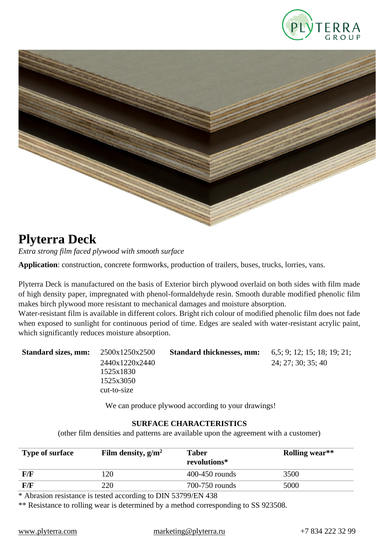



# **Plyterra Deck**

*Extra strong film faced plywood with smooth surface*

**Application**: construction, concrete formworks, production of trailers, buses, trucks, lorries, vans.

Plyterra Deck is manufactured on the basis of Exterior birch plywood overlaid on both sides with film made of high density paper, impregnated with phenol-formaldehyde resin. Smooth durable modified phenolic film makes birch plywood more resistant to mechanical damages and moisture absorption.

Water-resistant film is available in different colors. Bright rich colour of modified phenolic film does not fade when exposed to sunlight for continuous period of time. Edges are sealed with water-resistant acrylic paint, which significantly reduces moisture absorption.

| <b>Standard sizes, mm:</b> | 2500x1250x2500 | <b>Standard thicknesses, mm:</b> | 6,5; 9; 12; 15; 18; 19; 21; |
|----------------------------|----------------|----------------------------------|-----------------------------|
|                            | 2440x1220x2440 |                                  | 24; 27; 30; 35; 40          |
|                            | 1525x1830      |                                  |                             |
|                            | 1525x3050      |                                  |                             |
|                            | cut-to-size    |                                  |                             |
|                            |                |                                  |                             |

We can produce plywood according to your drawings!

#### **SURFACE CHARACTERISTICS**

(other film densities and patterns are available upon the agreement with a customer)

| <b>Type of surface</b> | Film density, $g/m^2$ | <b>Taber</b><br>revolutions* | Rolling wear** |
|------------------------|-----------------------|------------------------------|----------------|
| F/F                    | 120                   | $400-450$ rounds             | 3500           |
| F/F                    | 220                   | 700-750 rounds               | 5000           |

\* Abrasion resistance is tested according to DIN 53799/EN 438

\*\* Resistance to rolling wear is determined by a method corresponding to SS 923508.